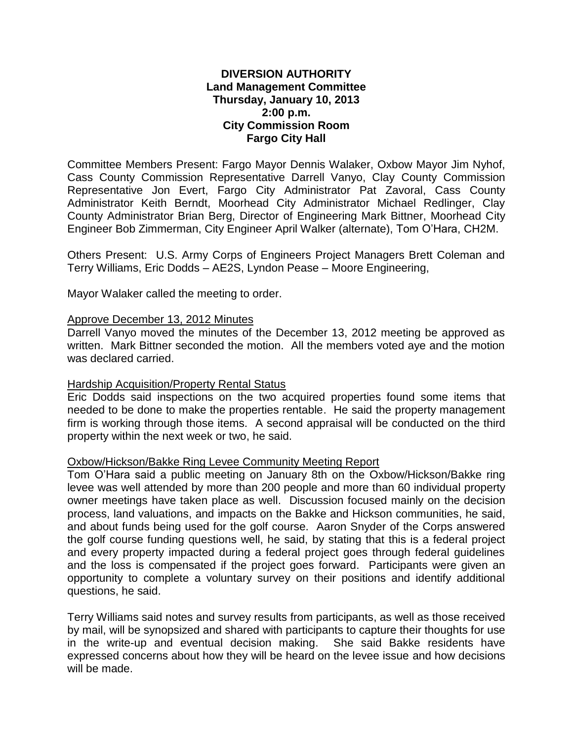## **DIVERSION AUTHORITY Land Management Committee Thursday, January 10, 2013 2:00 p.m. City Commission Room Fargo City Hall**

Committee Members Present: Fargo Mayor Dennis Walaker, Oxbow Mayor Jim Nyhof, Cass County Commission Representative Darrell Vanyo, Clay County Commission Representative Jon Evert, Fargo City Administrator Pat Zavoral, Cass County Administrator Keith Berndt, Moorhead City Administrator Michael Redlinger, Clay County Administrator Brian Berg, Director of Engineering Mark Bittner, Moorhead City Engineer Bob Zimmerman, City Engineer April Walker (alternate), Tom O'Hara, CH2M.

Others Present: U.S. Army Corps of Engineers Project Managers Brett Coleman and Terry Williams, Eric Dodds – AE2S, Lyndon Pease – Moore Engineering,

Mayor Walaker called the meeting to order.

## Approve December 13, 2012 Minutes

Darrell Vanyo moved the minutes of the December 13, 2012 meeting be approved as written. Mark Bittner seconded the motion. All the members voted aye and the motion was declared carried.

### Hardship Acquisition/Property Rental Status

Eric Dodds said inspections on the two acquired properties found some items that needed to be done to make the properties rentable. He said the property management firm is working through those items. A second appraisal will be conducted on the third property within the next week or two, he said.

### Oxbow/Hickson/Bakke Ring Levee Community Meeting Report

Tom O'Hara said a public meeting on January 8th on the Oxbow/Hickson/Bakke ring levee was well attended by more than 200 people and more than 60 individual property owner meetings have taken place as well. Discussion focused mainly on the decision process, land valuations, and impacts on the Bakke and Hickson communities, he said, and about funds being used for the golf course. Aaron Snyder of the Corps answered the golf course funding questions well, he said, by stating that this is a federal project and every property impacted during a federal project goes through federal guidelines and the loss is compensated if the project goes forward. Participants were given an opportunity to complete a voluntary survey on their positions and identify additional questions, he said.

Terry Williams said notes and survey results from participants, as well as those received by mail, will be synopsized and shared with participants to capture their thoughts for use in the write-up and eventual decision making. She said Bakke residents have expressed concerns about how they will be heard on the levee issue and how decisions will be made.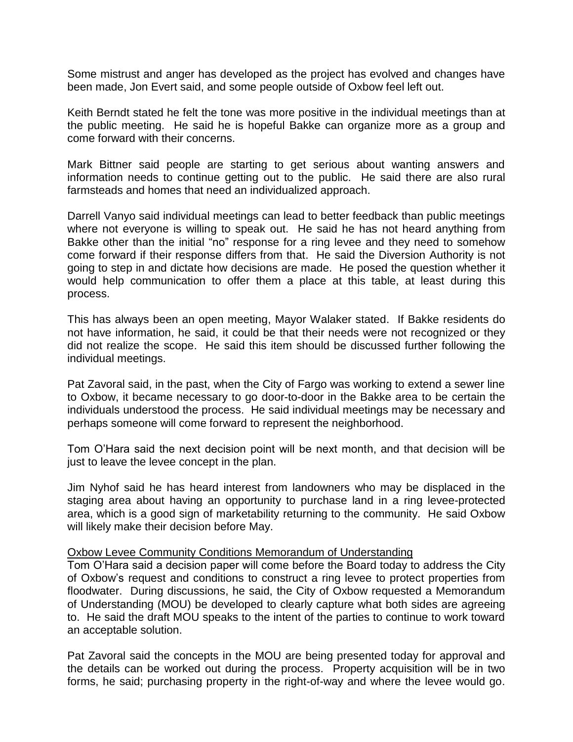Some mistrust and anger has developed as the project has evolved and changes have been made, Jon Evert said, and some people outside of Oxbow feel left out.

Keith Berndt stated he felt the tone was more positive in the individual meetings than at the public meeting. He said he is hopeful Bakke can organize more as a group and come forward with their concerns.

Mark Bittner said people are starting to get serious about wanting answers and information needs to continue getting out to the public. He said there are also rural farmsteads and homes that need an individualized approach.

Darrell Vanyo said individual meetings can lead to better feedback than public meetings where not everyone is willing to speak out. He said he has not heard anything from Bakke other than the initial "no" response for a ring levee and they need to somehow come forward if their response differs from that. He said the Diversion Authority is not going to step in and dictate how decisions are made. He posed the question whether it would help communication to offer them a place at this table, at least during this process.

This has always been an open meeting, Mayor Walaker stated. If Bakke residents do not have information, he said, it could be that their needs were not recognized or they did not realize the scope. He said this item should be discussed further following the individual meetings.

Pat Zavoral said, in the past, when the City of Fargo was working to extend a sewer line to Oxbow, it became necessary to go door-to-door in the Bakke area to be certain the individuals understood the process. He said individual meetings may be necessary and perhaps someone will come forward to represent the neighborhood.

Tom O'Hara said the next decision point will be next month, and that decision will be just to leave the levee concept in the plan.

Jim Nyhof said he has heard interest from landowners who may be displaced in the staging area about having an opportunity to purchase land in a ring levee-protected area, which is a good sign of marketability returning to the community. He said Oxbow will likely make their decision before May.

### Oxbow Levee Community Conditions Memorandum of Understanding

Tom O'Hara said a decision paper will come before the Board today to address the City of Oxbow's request and conditions to construct a ring levee to protect properties from floodwater. During discussions, he said, the City of Oxbow requested a Memorandum of Understanding (MOU) be developed to clearly capture what both sides are agreeing to. He said the draft MOU speaks to the intent of the parties to continue to work toward an acceptable solution.

Pat Zavoral said the concepts in the MOU are being presented today for approval and the details can be worked out during the process. Property acquisition will be in two forms, he said; purchasing property in the right-of-way and where the levee would go.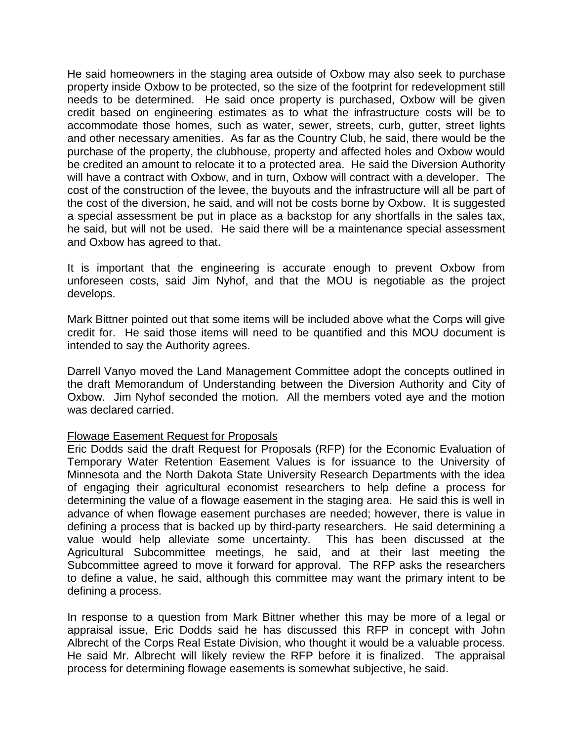He said homeowners in the staging area outside of Oxbow may also seek to purchase property inside Oxbow to be protected, so the size of the footprint for redevelopment still needs to be determined. He said once property is purchased, Oxbow will be given credit based on engineering estimates as to what the infrastructure costs will be to accommodate those homes, such as water, sewer, streets, curb, gutter, street lights and other necessary amenities. As far as the Country Club, he said, there would be the purchase of the property, the clubhouse, property and affected holes and Oxbow would be credited an amount to relocate it to a protected area. He said the Diversion Authority will have a contract with Oxbow, and in turn, Oxbow will contract with a developer. The cost of the construction of the levee, the buyouts and the infrastructure will all be part of the cost of the diversion, he said, and will not be costs borne by Oxbow. It is suggested a special assessment be put in place as a backstop for any shortfalls in the sales tax, he said, but will not be used. He said there will be a maintenance special assessment and Oxbow has agreed to that.

It is important that the engineering is accurate enough to prevent Oxbow from unforeseen costs, said Jim Nyhof, and that the MOU is negotiable as the project develops.

Mark Bittner pointed out that some items will be included above what the Corps will give credit for. He said those items will need to be quantified and this MOU document is intended to say the Authority agrees.

Darrell Vanyo moved the Land Management Committee adopt the concepts outlined in the draft Memorandum of Understanding between the Diversion Authority and City of Oxbow. Jim Nyhof seconded the motion. All the members voted aye and the motion was declared carried.

# Flowage Easement Request for Proposals

Eric Dodds said the draft Request for Proposals (RFP) for the Economic Evaluation of Temporary Water Retention Easement Values is for issuance to the University of Minnesota and the North Dakota State University Research Departments with the idea of engaging their agricultural economist researchers to help define a process for determining the value of a flowage easement in the staging area. He said this is well in advance of when flowage easement purchases are needed; however, there is value in defining a process that is backed up by third-party researchers. He said determining a value would help alleviate some uncertainty. This has been discussed at the Agricultural Subcommittee meetings, he said, and at their last meeting the Subcommittee agreed to move it forward for approval. The RFP asks the researchers to define a value, he said, although this committee may want the primary intent to be defining a process.

In response to a question from Mark Bittner whether this may be more of a legal or appraisal issue, Eric Dodds said he has discussed this RFP in concept with John Albrecht of the Corps Real Estate Division, who thought it would be a valuable process. He said Mr. Albrecht will likely review the RFP before it is finalized. The appraisal process for determining flowage easements is somewhat subjective, he said.